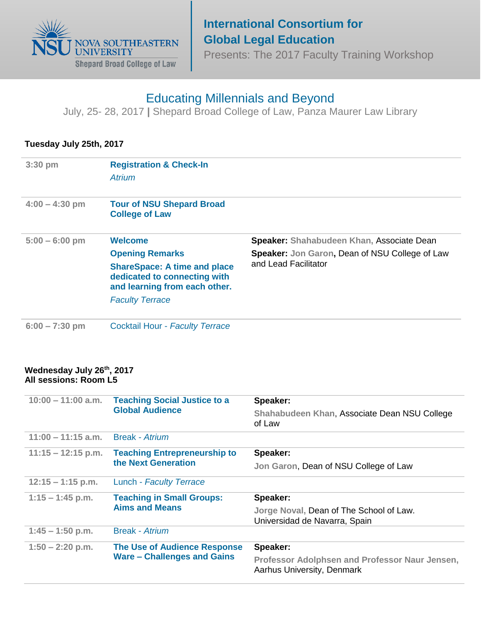

## **International Consortium for Global Legal Education**

Presents: The 2017 Faculty Training Workshop

# Educating Millennials and Beyond

July, 25- 28, 2017 **|** Shepard Broad College of Law, Panza Maurer Law Library

### **Tuesday July 25th, 2017**

| $3:30$ pm        | <b>Registration &amp; Check-In</b><br><b>Atrium</b>                                                  |                                                                               |
|------------------|------------------------------------------------------------------------------------------------------|-------------------------------------------------------------------------------|
| $4:00 - 4:30$ pm | <b>Tour of NSU Shepard Broad</b><br><b>College of Law</b>                                            |                                                                               |
| $5:00 - 6:00$ pm | <b>Welcome</b>                                                                                       | Speaker: Shahabudeen Khan, Associate Dean                                     |
|                  | <b>Opening Remarks</b>                                                                               | <b>Speaker: Jon Garon, Dean of NSU College of Law</b><br>and Lead Facilitator |
|                  | <b>ShareSpace: A time and place</b><br>dedicated to connecting with<br>and learning from each other. |                                                                               |
|                  | <b>Faculty Terrace</b>                                                                               |                                                                               |
| $6:00 - 7:30$ pm | <b>Cocktail Hour - Faculty Terrace</b>                                                               |                                                                               |

#### **Wednesday July 26th, 2017 All sessions: Room L5**

| $10:00 - 11:00$ a.m. | <b>Teaching Social Justice to a</b><br><b>Global Audience</b>             | Speaker:                                                                     |  |
|----------------------|---------------------------------------------------------------------------|------------------------------------------------------------------------------|--|
|                      |                                                                           | Shahabudeen Khan, Associate Dean NSU College<br>of Law                       |  |
| $11:00 - 11:15$ a.m. | <b>Break</b> - Atrium                                                     |                                                                              |  |
| $11:15 - 12:15$ p.m. | <b>Teaching Entrepreneurship to</b><br>the Next Generation                | Speaker:                                                                     |  |
|                      |                                                                           | Jon Garon, Dean of NSU College of Law                                        |  |
| $12:15 - 1:15$ p.m.  | Lunch - Faculty Terrace                                                   |                                                                              |  |
| $1:15 - 1:45$ p.m.   | <b>Teaching in Small Groups:</b><br><b>Aims and Means</b>                 | Speaker:                                                                     |  |
|                      |                                                                           | Jorge Noval, Dean of The School of Law.<br>Universidad de Navarra, Spain     |  |
| $1:45 - 1:50$ p.m.   | Break - Atrium                                                            |                                                                              |  |
| $1:50 - 2:20$ p.m.   | <b>The Use of Audience Response</b><br><b>Ware - Challenges and Gains</b> | Speaker:                                                                     |  |
|                      |                                                                           | Professor Adolphsen and Professor Naur Jensen,<br>Aarhus University, Denmark |  |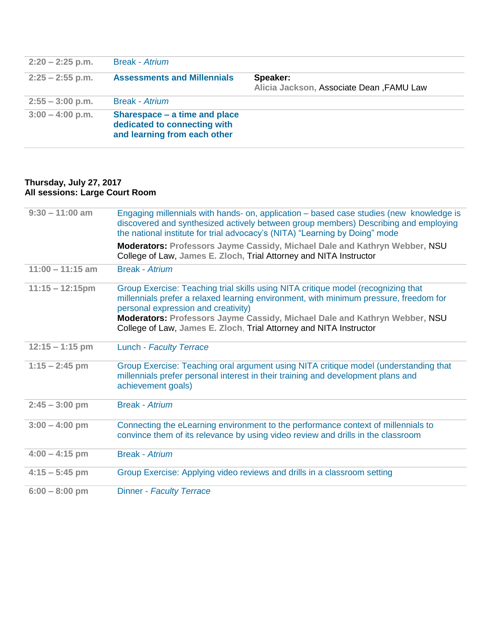| $2:20 - 2:25$ p.m. | <b>Break - Atrium</b>                                                                         |                                                      |
|--------------------|-----------------------------------------------------------------------------------------------|------------------------------------------------------|
| $2:25 - 2:55$ p.m. | <b>Assessments and Millennials</b>                                                            | Speaker:<br>Alicia Jackson, Associate Dean, FAMU Law |
| $2:55 - 3:00$ p.m. | <b>Break</b> - Atrium                                                                         |                                                      |
| $3:00 - 4:00$ p.m. | Sharespace – a time and place<br>dedicated to connecting with<br>and learning from each other |                                                      |

#### **Thursday, July 27, 2017 All sessions: Large Court Room**

| $9:30 - 11:00$ am  | Engaging millennials with hands- on, application - based case studies (new knowledge is<br>discovered and synthesized actively between group members) Describing and employing<br>the national institute for trial advocacy's (NITA) "Learning by Doing" mode                                                                                                         |
|--------------------|-----------------------------------------------------------------------------------------------------------------------------------------------------------------------------------------------------------------------------------------------------------------------------------------------------------------------------------------------------------------------|
|                    | <b>Moderators: Professors Jayme Cassidy, Michael Dale and Kathryn Webber, NSU</b><br>College of Law, James E. Zloch, Trial Attorney and NITA Instructor                                                                                                                                                                                                               |
| $11:00 - 11:15$ am | <b>Break - Atrium</b>                                                                                                                                                                                                                                                                                                                                                 |
| $11:15 - 12:15$ pm | Group Exercise: Teaching trial skills using NITA critique model (recognizing that<br>millennials prefer a relaxed learning environment, with minimum pressure, freedom for<br>personal expression and creativity)<br>Moderators: Professors Jayme Cassidy, Michael Dale and Kathryn Webber, NSU<br>College of Law, James E. Zloch, Trial Attorney and NITA Instructor |
| $12:15 - 1:15$ pm  | Lunch - Faculty Terrace                                                                                                                                                                                                                                                                                                                                               |
| $1:15 - 2:45$ pm   | Group Exercise: Teaching oral argument using NITA critique model (understanding that<br>millennials prefer personal interest in their training and development plans and<br>achievement goals)                                                                                                                                                                        |
| $2:45 - 3:00$ pm   | <b>Break - Atrium</b>                                                                                                                                                                                                                                                                                                                                                 |
| $3:00 - 4:00$ pm   | Connecting the eLearning environment to the performance context of millennials to<br>convince them of its relevance by using video review and drills in the classroom                                                                                                                                                                                                 |
| $4:00 - 4:15$ pm   | <b>Break - Atrium</b>                                                                                                                                                                                                                                                                                                                                                 |
| $4:15 - 5:45$ pm   | Group Exercise: Applying video reviews and drills in a classroom setting                                                                                                                                                                                                                                                                                              |
| $6:00 - 8:00$ pm   | <b>Dinner - Faculty Terrace</b>                                                                                                                                                                                                                                                                                                                                       |